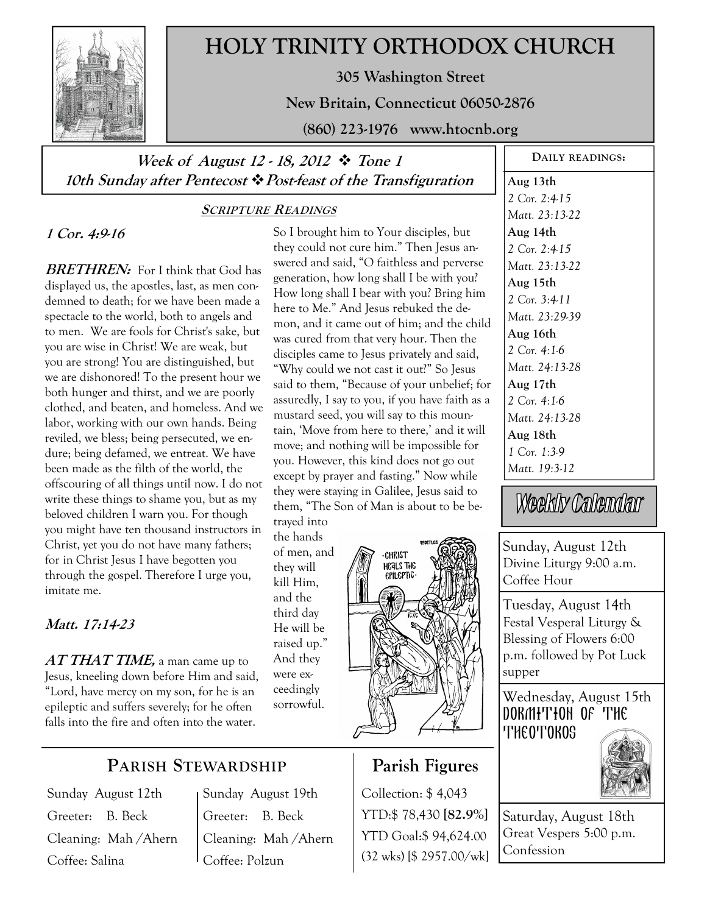

# **HOLY TRINITY ORTHODOX CHURCH**

**305 Washington Street** 

**New Britain, Connecticut 06050-2876** 

**(860) 223-1976 www.htocnb.org** 

# Week of August 12 - 18, 2012  $\cdot \cdot$  Tone 1 **10th Sunday after Pentecost Post-feast of the Transfiguration**

### **SCRIPTURE READINGS**

## **1 Cor. 4:9-16**

**BRETHREN:** For I think that God has displayed us, the apostles, last, as men condemned to death; for we have been made a spectacle to the world, both to angels and to men. We are fools for Christ's sake, but you are wise in Christ! We are weak, but you are strong! You are distinguished, but we are dishonored! To the present hour we both hunger and thirst, and we are poorly clothed, and beaten, and homeless. And we labor, working with our own hands. Being reviled, we bless; being persecuted, we endure; being defamed, we entreat. We have been made as the filth of the world, the offscouring of all things until now. I do not write these things to shame you, but as my beloved children I warn you. For though you might have ten thousand instructors in Christ, yet you do not have many fathers; for in Christ Jesus I have begotten you through the gospel. Therefore I urge you, imitate me.

### **Matt. 17:14-23**

**AT THAT TIME,** a man came up to Jesus, kneeling down before Him and said, "Lord, have mercy on my son, for he is an epileptic and suffers severely; for he often falls into the fire and often into the water.

# **PARISH STEWARDSHIP**

Sunday August 12th Greeter: B. Beck Cleaning: Mah /Ahern Coffee: Salina

Sunday August 19th Greeter: B. Beck Cleaning: Mah /Ahern Coffee: Polzun

So I brought him to Your disciples, but they could not cure him." Then Jesus answered and said, "O faithless and perverse generation, how long shall I be with you? How long shall I bear with you? Bring him here to Me." And Jesus rebuked the demon, and it came out of him; and the child was cured from that very hour. Then the disciples came to Jesus privately and said, "Why could we not cast it out?" So Jesus said to them, "Because of your unbelief; for assuredly, I say to you, if you have faith as a mustard seed, you will say to this mountain, 'Move from here to there,' and it will move; and nothing will be impossible for you. However, this kind does not go out except by prayer and fasting." Now while they were staying in Galilee, Jesus said to them, "The Son of Man is about to be betrayed into

the hands of men, and they will kill Him, and the third day He will be raised up." And they were exceedingly sorrowful.



# **Parish Figures**

Collection: \$ 4,043 YTD:\$ 78,430 **[82.9%]** YTD Goal:\$ 94,624.00 (32 wks) [\$ 2957.00/wk]

**Aug 13th**  *2 Cor. 2:4-15 Matt. 23:13-22*  **Aug 14th**  *2 Cor. 2:4-15 Matt. 23:13-22*  **Aug 15th**  *2 Cor. 3:4-11 Matt. 23:29-39*  **Aug 16th**  *2 Cor. 4:1-6 Matt. 24:13-28*  **Aug 17th**  *2 Cor. 4:1-6 Matt. 24:13-28*  **Aug 18th**  *1 Cor. 1:3-9 Matt. 19:3-12* 

**DAILY READINGS:** 

Weekly Calendar

Sunday, August 12th Divine Liturgy 9:00 a.m. Coffee Hour

Tuesday, August 14th Festal Vesperal Liturgy & Blessing of Flowers 6:00 p.m. followed by Pot Luck supper

Wednesday, August 15th DORMITION OF THE **THEOTOKOS** 



Saturday, August 18th Great Vespers 5:00 p.m. Confession